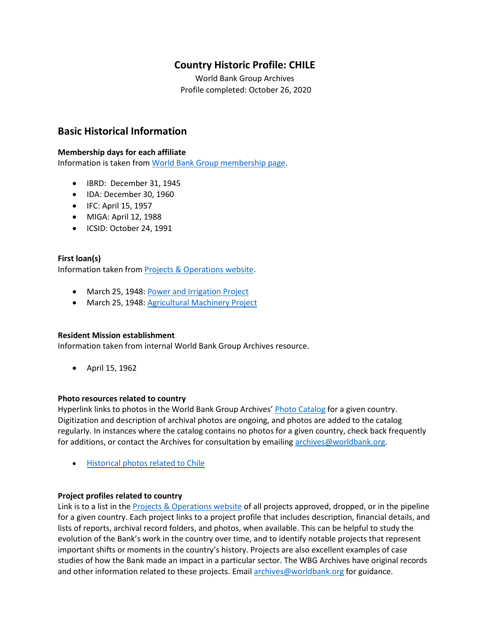# **Country Historic Profile: CHILE**

World Bank Group Archives Profile completed: October 26, 2020

## **Basic Historical Information**

#### **Membership days for each affiliate**

Information is taken from [World Bank Group membership page.](https://www.worldbank.org/en/about/leadership/members#1)

- IBRD: December 31, 1945
- IDA: December 30, 1960
- IFC: April 15, 1957
- MIGA: April 12, 1988
- ICSID: October 24, 1991

#### **First loan(s)**

Information taken from [Projects & Operations website.](https://projects.worldbank.org/)

- March 25, 1948[: Power and Irrigation Project](https://projects.worldbank.org/en/projects-operations/project-detail/P006578)
- March 25, 1948[: Agricultural Machinery Project](https://projects.worldbank.org/en/projects-operations/project-detail/P006577)

#### **Resident Mission establishment**

Information taken from internal World Bank Group Archives resource.

• April 15, 1962

#### **Photo resources related to country**

Hyperlink links to photos in the World Bank Group Archives' [Photo Catalog](https://archivesphotos.worldbank.org/en/about/archives/photo-gallery) for a given country. Digitization and description of archival photos are ongoing, and photos are added to the catalog regularly. In instances where the catalog contains no photos for a given country, check back frequently for additions, or contact the Archives for consultation by emailing [archives@worldbank.org.](mailto:archives@worldbank.org)

• [Historical photos related to Chile](https://archivesphotos.worldbank.org/en/about/archives/photo-gallery/photo-gallery-landing?qterm=chile&x=0&y=0)

#### **Project profiles related to country**

Link is to a list in the [Projects & Operations website](https://projects.worldbank.org/) of all projects approved, dropped, or in the pipeline for a given country. Each project links to a project profile that includes description, financial details, and lists of reports, archival record folders, and photos, when available. This can be helpful to study the evolution of the Bank's work in the country over time, and to identify notable projects that represent important shifts or moments in the country's history. Projects are also excellent examples of case studies of how the Bank made an impact in a particular sector. The WBG Archives have original records and other information related to these projects. Email [archives@worldbank.org](mailto:archives@worldbank.org) for guidance.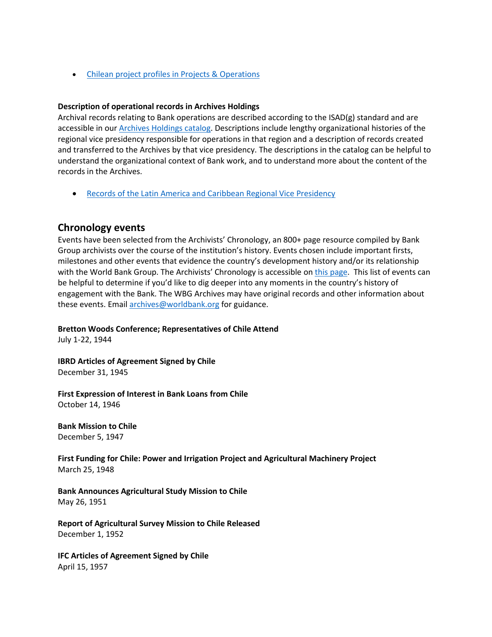• Chilean project profiles [in Projects & Operations](https://projects.worldbank.org/en/projects-operations/projects-summary?countrycode_exact=CL)

#### **Description of operational records in Archives Holdings**

Archival records relating to Bank operations are described according to the ISAD(g) standard and are accessible in our [Archives Holdings catalog.](https://archivesholdings.worldbank.org/) Descriptions include lengthy organizational histories of the regional vice presidency responsible for operations in that region and a description of records created and transferred to the Archives by that vice presidency. The descriptions in the catalog can be helpful to understand the organizational context of Bank work, and to understand more about the content of the records in the Archives.

• [Records of the Latin America and Caribbean Regional Vice Presidency](https://archivesholdings.worldbank.org/records-of-latin-america-and-caribbean-regional-vice-presidency)

## **Chronology events**

Events have been selected from the Archivists' Chronology, an 800+ page resource compiled by Bank Group archivists over the course of the institution's history. Events chosen include important firsts, milestones and other events that evidence the country's development history and/or its relationship with the World Bank Group. The Archivists' Chronology is accessible on [this page.](https://www.worldbank.org/en/about/archives/history/timeline) This list of events can be helpful to determine if you'd like to dig deeper into any moments in the country's history of engagement with the Bank. The WBG Archives may have original records and other information about these events. Email [archives@worldbank.org](mailto:archives@worldbank.org) for guidance.

**Bretton Woods Conference; Representatives of Chile Attend**

July 1-22, 1944

**IBRD Articles of Agreement Signed by Chile** December 31, 1945

**First Expression of Interest in Bank Loans from Chile**  October 14, 1946

**Bank Mission to Chile** December 5, 1947

**First Funding for Chile: Power and Irrigation Project and Agricultural Machinery Project** March 25, 1948

**Bank Announces Agricultural Study Mission to Chile** May 26, 1951

**Report of Agricultural Survey Mission to Chile Released** December 1, 1952

**IFC Articles of Agreement Signed by Chile** April 15, 1957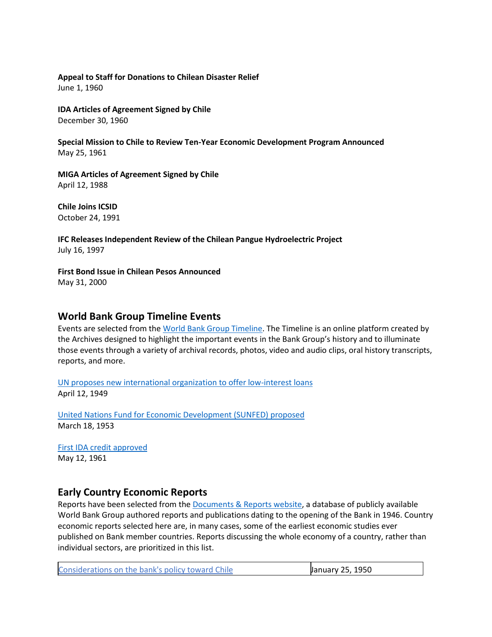#### **Appeal to Staff for Donations to Chilean Disaster Relief** June 1, 1960

**IDA Articles of Agreement Signed by Chile** December 30, 1960

**Special Mission to Chile to Review Ten-Year Economic Development Program Announced** May 25, 1961

**MIGA Articles of Agreement Signed by Chile** April 12, 1988

**Chile Joins ICSID** October 24, 1991

**IFC Releases Independent Review of the Chilean Pangue Hydroelectric Project** July 16, 1997

**First Bond Issue in Chilean Pesos Announced** May 31, 2000

### **World Bank Group Timeline Events**

Events are selected from the [World Bank Group Timeline.](https://timeline.worldbank.org/#event-bretton-woods-conference-begins) The Timeline is an online platform created by the Archives designed to highlight the important events in the Bank Group's history and to illuminate those events through a variety of archival records, photos, video and audio clips, oral history transcripts, reports, and more.

[UN proposes new international organization to offer low-interest loans](https://timeline.worldbank.org/?field_timeline_target_id=All&combine=chile#event-un-proposes-new-international-organization-to-offer-low-interest-loans) April 12, 1949

[United Nations Fund for Economic Development \(SUNFED\) proposed](https://timeline.worldbank.org/?field_timeline_target_id=All&combine=chile#event-united-nations-fund-for-economic-development-sunfed-proposed) March 18, 1953

[First IDA credit approved](https://timeline.worldbank.org/?field_timeline_target_id=All&combine=chile#event-first-ida-credit-approved) May 12, 1961

## **Early Country Economic Reports**

Reports have been selected from the [Documents & Reports website,](https://documents.worldbank.org/) a database of publicly available World Bank Group authored reports and publications dating to the opening of the Bank in 1946. Country economic reports selected here are, in many cases, some of the earliest economic studies ever published on Bank member countries. Reports discussing the whole economy of a country, rather than individual sectors, are prioritized in this list.

| Considerations on the bank's policy toward Chile | January 25, 1950 |
|--------------------------------------------------|------------------|
|                                                  |                  |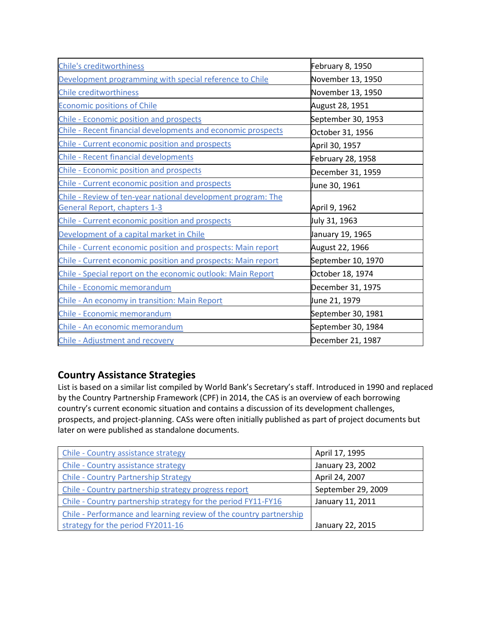| <b>Chile's creditworthiness</b>                                                                     | February 8, 1950   |  |
|-----------------------------------------------------------------------------------------------------|--------------------|--|
| Development programming with special reference to Chile                                             | November 13, 1950  |  |
| <b>Chile creditworthiness</b>                                                                       | November 13, 1950  |  |
| <b>Economic positions of Chile</b>                                                                  | August 28, 1951    |  |
| <b>Chile - Economic position and prospects</b>                                                      | September 30, 1953 |  |
| Chile - Recent financial developments and economic prospects                                        | October 31, 1956   |  |
| Chile - Current economic position and prospects                                                     | April 30, 1957     |  |
| <b>Chile - Recent financial developments</b>                                                        | February 28, 1958  |  |
| Chile - Economic position and prospects                                                             | December 31, 1959  |  |
| Chile - Current economic position and prospects                                                     | June 30, 1961      |  |
| Chile - Review of ten-year national development program: The<br><b>General Report, chapters 1-3</b> | April 9, 1962      |  |
| Chile - Current economic position and prospects                                                     | July 31, 1963      |  |
| Development of a capital market in Chile                                                            | January 19, 1965   |  |
| Chile - Current economic position and prospects: Main report                                        | August 22, 1966    |  |
| Chile - Current economic position and prospects: Main report                                        | September 10, 1970 |  |
| Chile - Special report on the economic outlook: Main Report                                         | October 18, 1974   |  |
| Chile - Economic memorandum                                                                         | December 31, 1975  |  |
| Chile - An economy in transition: Main Report                                                       | June 21, 1979      |  |
| Chile - Economic memorandum                                                                         | September 30, 1981 |  |
| Chile - An economic memorandum                                                                      | September 30, 1984 |  |
| Chile - Adjustment and recovery                                                                     | December 21, 1987  |  |

# **Country Assistance Strategies**

List is based on a similar list compiled by World Bank's Secretary's staff. Introduced in 1990 and replaced by the Country Partnership Framework (CPF) in 2014, the CAS is an overview of each borrowing country's current economic situation and contains a discussion of its development challenges, prospects, and project-planning. CASs were often initially published as part of project documents but later on were published as standalone documents.

| Chile - Country assistance strategy                                | April 17, 1995     |
|--------------------------------------------------------------------|--------------------|
| Chile - Country assistance strategy                                | January 23, 2002   |
| <b>Chile - Country Partnership Strategy</b>                        | April 24, 2007     |
| Chile - Country partnership strategy progress report               | September 29, 2009 |
| Chile - Country partnership strategy for the period FY11-FY16      | January 11, 2011   |
| Chile - Performance and learning review of the country partnership |                    |
| strategy for the period FY2011-16                                  | January 22, 2015   |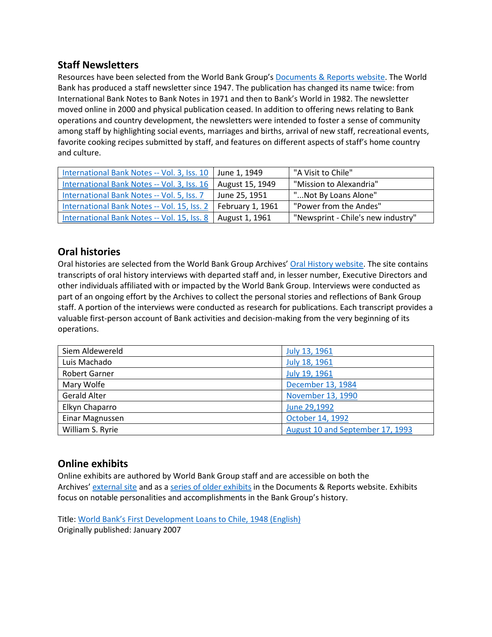## **Staff Newsletters**

Resources have been selected from the World Bank Group's [Documents & Reports website.](https://documents.worldbank.org/) The World Bank has produced a staff newsletter since 1947. The publication has changed its name twice: from International Bank Notes to Bank Notes in 1971 and then to Bank's World in 1982. The newsletter moved online in 2000 and physical publication ceased. In addition to offering news relating to Bank operations and country development, the newsletters were intended to foster a sense of community among staff by highlighting social events, marriages and births, arrival of new staff, recreational events, favorite cooking recipes submitted by staff, and features on different aspects of staff's home country and culture.

| International Bank Notes -- Vol. 3, Iss. 10   June 1, 1949 |                  | "A Visit to Chile"                 |
|------------------------------------------------------------|------------------|------------------------------------|
| International Bank Notes -- Vol. 3, Iss. 16                | August 15, 1949  | "Mission to Alexandria"            |
| International Bank Notes -- Vol. 5, Iss. 7                 | June 25, 1951    | "Not By Loans Alone"               |
| International Bank Notes -- Vol. 15, Iss. 2                | February 1, 1961 | "Power from the Andes"             |
| International Bank Notes -- Vol. 15, Iss. 8                | August 1, 1961   | "Newsprint - Chile's new industry" |

## **Oral histories**

Oral histories are selected from the World Bank Group Archives' [Oral History website.](https://oralhistory.worldbank.org/) The site contains transcripts of oral history interviews with departed staff and, in lesser number, Executive Directors and other individuals affiliated with or impacted by the World Bank Group. Interviews were conducted as part of an ongoing effort by the Archives to collect the personal stories and reflections of Bank Group staff. A portion of the interviews were conducted as research for publications. Each transcript provides a valuable first-person account of Bank activities and decision-making from the very beginning of its operations.

| Siem Aldewereld      | July 13, 1961                    |  |
|----------------------|----------------------------------|--|
| Luis Machado         | July 18, 1961                    |  |
| <b>Robert Garner</b> | July 19, 1961                    |  |
| Mary Wolfe           | December 13, 1984                |  |
| <b>Gerald Alter</b>  | November 13, 1990                |  |
| Elkyn Chaparro       | June 29,1992                     |  |
| Einar Magnussen      | October 14, 1992                 |  |
| William S. Ryrie     | August 10 and September 17, 1993 |  |

## **Online exhibits**

Online exhibits are authored by World Bank Group staff and are accessible on both the Archives' [external site](https://www.worldbank.org/en/about/archives/history/exhibits) and as a [series of older exhibits](https://documents.worldbank.org/en/publication/documents-reports/documentlist?colti=World%20Bank%20Group%20Archives%20exhibit%20series) in the Documents & Reports website. Exhibits focus on notable personalities and accomplishments in the Bank Group's history.

Title: [World Bank's First Development Loans to Chile, 1948 \(English\)](http://documents.worldbank.org/curated/en/308691468185347709/World-Bank-s-First-Development-Loans-to-Chile-1948) Originally published: January 2007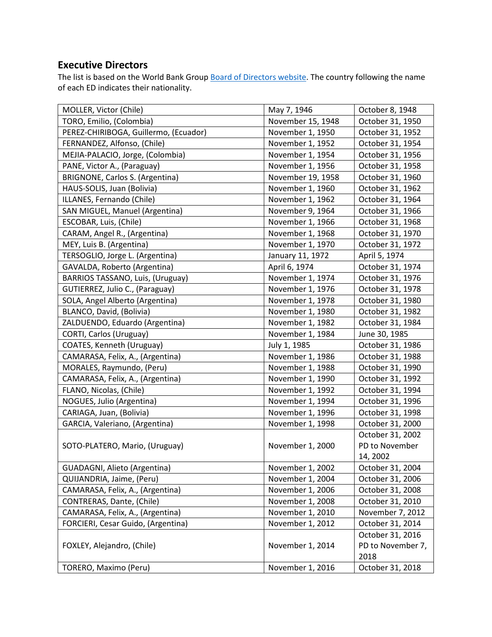# **Executive Directors**

The list is based on the World Bank Group **Board of Directors website**. The country following the name of each ED indicates their nationality.

| MOLLER, Victor (Chile)                | May 7, 1946       | October 8, 1948   |
|---------------------------------------|-------------------|-------------------|
| TORO, Emilio, (Colombia)              | November 15, 1948 | October 31, 1950  |
| PEREZ-CHIRIBOGA, Guillermo, (Ecuador) | November 1, 1950  | October 31, 1952  |
| FERNANDEZ, Alfonso, (Chile)           | November 1, 1952  | October 31, 1954  |
| MEJIA-PALACIO, Jorge, (Colombia)      | November 1, 1954  | October 31, 1956  |
| PANE, Victor A., (Paraguay)           | November 1, 1956  | October 31, 1958  |
| BRIGNONE, Carlos S. (Argentina)       | November 19, 1958 | October 31, 1960  |
| HAUS-SOLIS, Juan (Bolivia)            | November 1, 1960  | October 31, 1962  |
| ILLANES, Fernando (Chile)             | November 1, 1962  | October 31, 1964  |
| SAN MIGUEL, Manuel (Argentina)        | November 9, 1964  | October 31, 1966  |
| ESCOBAR, Luis, (Chile)                | November 1, 1966  | October 31, 1968  |
| CARAM, Angel R., (Argentina)          | November 1, 1968  | October 31, 1970  |
| MEY, Luis B. (Argentina)              | November 1, 1970  | October 31, 1972  |
| TERSOGLIO, Jorge L. (Argentina)       | January 11, 1972  | April 5, 1974     |
| GAVALDA, Roberto (Argentina)          | April 6, 1974     | October 31, 1974  |
| BARRIOS TASSANO, Luis, (Uruguay)      | November 1, 1974  | October 31, 1976  |
| GUTIERREZ, Julio C., (Paraguay)       | November 1, 1976  | October 31, 1978  |
| SOLA, Angel Alberto (Argentina)       | November 1, 1978  | October 31, 1980  |
| BLANCO, David, (Bolivia)              | November 1, 1980  | October 31, 1982  |
| ZALDUENDO, Eduardo (Argentina)        | November 1, 1982  | October 31, 1984  |
| CORTI, Carlos (Uruguay)               | November 1, 1984  | June 30, 1985     |
| COATES, Kenneth (Uruguay)             | July 1, 1985      | October 31, 1986  |
| CAMARASA, Felix, A., (Argentina)      | November 1, 1986  | October 31, 1988  |
| MORALES, Raymundo, (Peru)             | November 1, 1988  | October 31, 1990  |
| CAMARASA, Felix, A., (Argentina)      | November 1, 1990  | October 31, 1992  |
| FLANO, Nicolas, (Chile)               | November 1, 1992  | October 31, 1994  |
| NOGUES, Julio (Argentina)             | November 1, 1994  | October 31, 1996  |
| CARIAGA, Juan, (Bolivia)              | November 1, 1996  | October 31, 1998  |
| GARCIA, Valeriano, (Argentina)        | November 1, 1998  | October 31, 2000  |
|                                       |                   | October 31, 2002  |
| SOTO-PLATERO, Mario, (Uruguay)        | November 1, 2000  | PD to November    |
|                                       |                   | 14, 2002          |
| GUADAGNI, Alieto (Argentina)          | November 1, 2002  | October 31, 2004  |
| QUIJANDRIA, Jaime, (Peru)             | November 1, 2004  | October 31, 2006  |
| CAMARASA, Felix, A., (Argentina)      | November 1, 2006  | October 31, 2008  |
| CONTRERAS, Dante, (Chile)             | November 1, 2008  | October 31, 2010  |
| CAMARASA, Felix, A., (Argentina)      | November 1, 2010  | November 7, 2012  |
| FORCIERI, Cesar Guido, (Argentina)    | November 1, 2012  | October 31, 2014  |
|                                       |                   | October 31, 2016  |
| FOXLEY, Alejandro, (Chile)            | November 1, 2014  | PD to November 7, |
|                                       |                   | 2018              |
| TORERO, Maximo (Peru)                 | November 1, 2016  | October 31, 2018  |